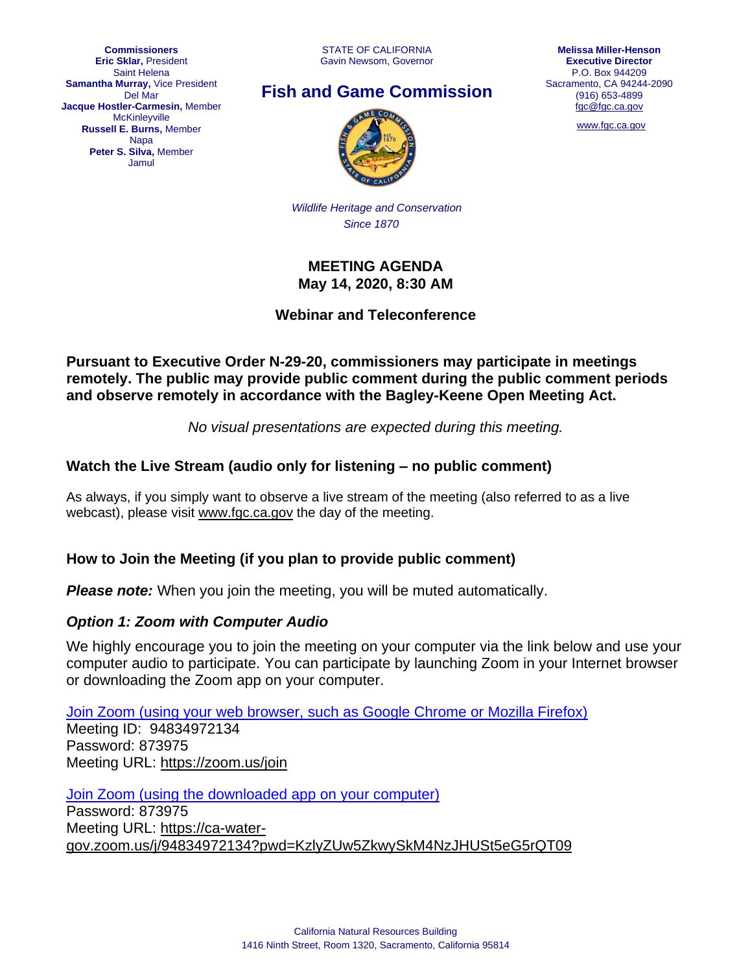**Commissioners Eric Sklar,** President Saint Helena **Samantha Murray,** Vice President Del Mar **Jacque Hostler-Carmesin,** Member **McKinleyville Russell E. Burns,** Member **Napa Peter S. Silva,** Member Jamul

STATE OF CALIFORNIA Gavin Newsom, Governor





[www.fgc.ca.gov](http://www.fgc.ca.gov/)



*Wildlife Heritage and Conservation Since 1870*

#### **MEETING AGENDA May 14, 2020, 8:30 AM**

**Webinar and Teleconference**

**Pursuant to Executive Order N-29-20, commissioners may participate in meetings remotely. The public may provide public comment during the public comment periods and observe remotely in accordance with the Bagley-Keene Open Meeting Act.**

*No visual presentations are expected during this meeting.*

#### **Watch the Live Stream (audio only for listening – no public comment)**

As always, if you simply want to observe a live stream of the meeting (also referred to as a live webcast), please visit [www.fgc.ca.gov](http://www.fgc.ca.gov/) the day of the meeting.

#### **How to Join the Meeting (if you plan to provide public comment)**

*Please note:* When you join the meeting, you will be muted automatically.

#### *Option 1: Zoom with Computer Audio*

We highly encourage you to join the meeting on your computer via the link below and use your computer audio to participate. You can participate by launching Zoom in your Internet browser or downloading the Zoom app on your computer.

[Join Zoom \(using your web browser, such as Google Chrome or Mozilla Firefox\)](https://zoom.us/join) Meeting ID: 94834972134 Password: 873975 Meeting URL:<https://zoom.us/join>

[Join Zoom \(using the downloaded app on your computer\)](https://ca-water-gov.zoom.us/j/94834972134?pwd=KzlyZUw5ZkwySkM4NzJHUSt5eG5rQT09) Password: 873975 Meeting URL: [https://ca-water](https://ca-water-gov.zoom.us/j/94834972134?pwd=KzlyZUw5ZkwySkM4NzJHUSt5eG5rQT09)[gov.zoom.us/j/94834972134?pwd=KzlyZUw5ZkwySkM4NzJHUSt5eG5rQT09](https://ca-water-gov.zoom.us/j/94834972134?pwd=KzlyZUw5ZkwySkM4NzJHUSt5eG5rQT09)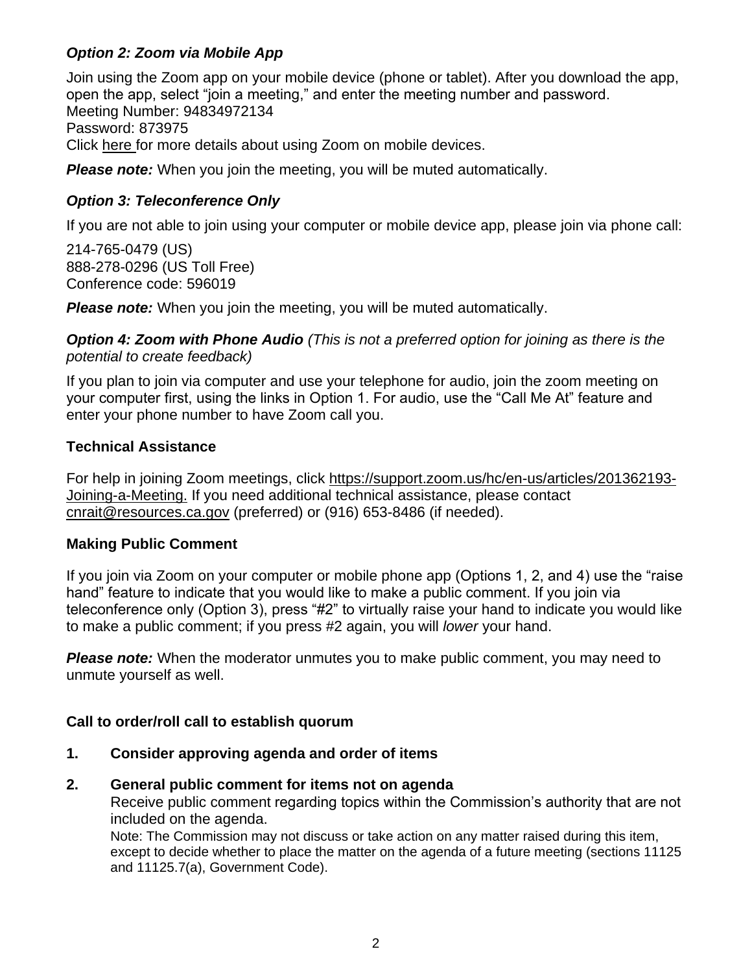## *Option 2: Zoom via Mobile App*

Join using the Zoom app on your mobile device (phone or tablet). After you download the app, open the app, select "join a meeting," and enter the meeting number and password. Meeting Number: 94834972134 Password: 873975 Click [here f](https://support.zoom.us/hc/en-us/sections/200305413-Mobile)or more details about using Zoom on mobile devices.

**Please note:** When you join the meeting, you will be muted automatically.

## *Option 3: Teleconference Only*

If you are not able to join using your computer or mobile device app, please join via phone call:

214-765-0479 (US) 888-278-0296 (US Toll Free) Conference code: 596019

*Please note:* When you join the meeting, you will be muted automatically.

*Option 4: Zoom with Phone Audio (This is not a preferred option for joining as there is the potential to create feedback)*

If you plan to join via computer and use your telephone for audio, join the zoom meeting on your computer first, using the links in Option 1. For audio, use the "Call Me At" feature and enter your phone number to have Zoom call you.

## **Technical Assistance**

For help in joining Zoom meetings, click [https://support.zoom.us/hc/en-us/articles/201362193-](https://support.zoom.us/hc/en-us/articles/201362193-Joining-a-Meeting) [Joining-a-Meeting.](https://support.zoom.us/hc/en-us/articles/201362193-Joining-a-Meeting) If you need additional technical assistance, please contact [cnrait@resources.ca.gov](mailto:cnrait@resources.ca.gov) (preferred) or (916) 653-8486 (if needed).

#### **Making Public Comment**

If you join via Zoom on your computer or mobile phone app (Options 1, 2, and 4) use the "raise hand" feature to indicate that you would like to make a public comment. If you join via teleconference only (Option 3), press "#2" to virtually raise your hand to indicate you would like to make a public comment; if you press #2 again, you will *lower* your hand.

*Please note:* When the moderator unmutes you to make public comment, you may need to unmute yourself as well.

## **Call to order/roll call to establish quorum**

**1. Consider approving agenda and order of items**

## **2. General public comment for items not on agenda**

Receive public comment regarding topics within the Commission's authority that are not included on the agenda.

Note: The Commission may not discuss or take action on any matter raised during this item, except to decide whether to place the matter on the agenda of a future meeting (sections 11125 and 11125.7(a), Government Code).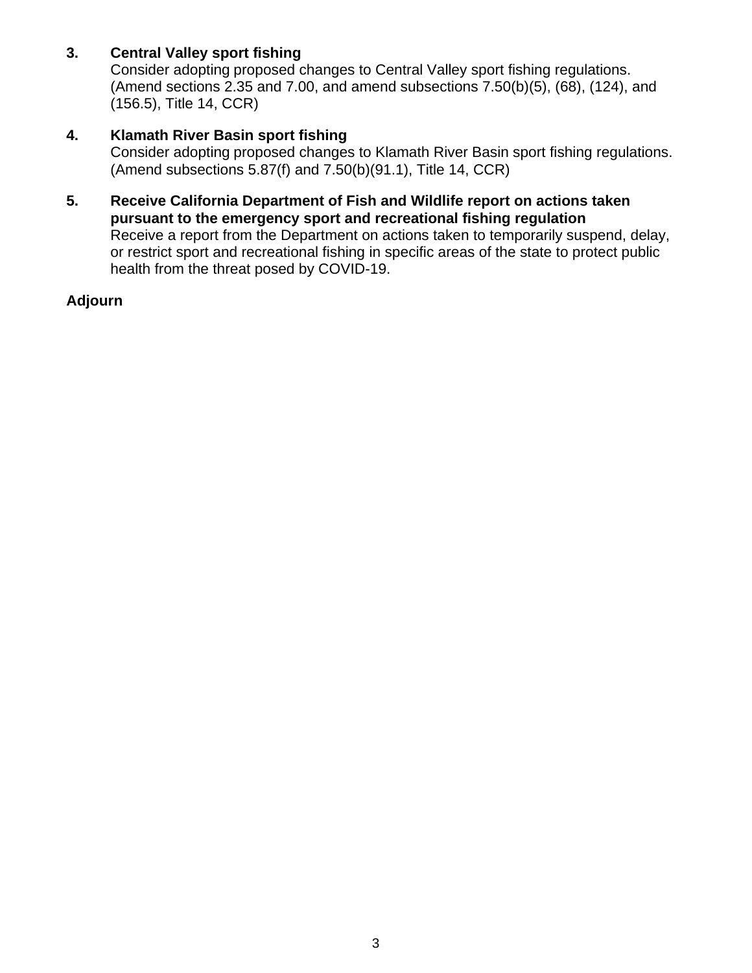## **3. Central Valley sport fishing**

Consider adopting proposed changes to Central Valley sport fishing regulations. (Amend sections 2.35 and 7.00, and amend subsections 7.50(b)(5), (68), (124), and (156.5), Title 14, CCR)

## **4. Klamath River Basin sport fishing**

Consider adopting proposed changes to Klamath River Basin sport fishing regulations. (Amend subsections 5.87(f) and 7.50(b)(91.1), Title 14, CCR)

**5. Receive California Department of Fish and Wildlife report on actions taken pursuant to the emergency sport and recreational fishing regulation** Receive a report from the Department on actions taken to temporarily suspend, delay, or restrict sport and recreational fishing in specific areas of the state to protect public health from the threat posed by COVID-19.

#### **Adjourn**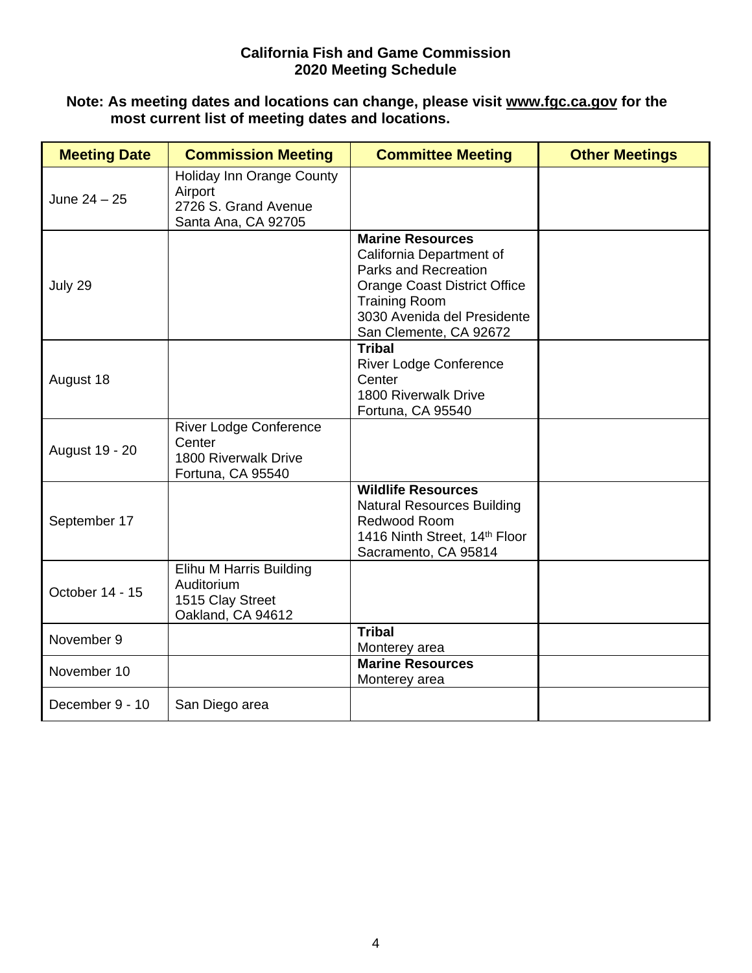#### **California Fish and Game Commission 2020 Meeting Schedule**

#### **Note: As meeting dates and locations can change, please visit [www.fgc.ca.gov](http://www.fgc.ca.gov/) for the most current list of meeting dates and locations.**

| <b>Meeting Date</b> | <b>Commission Meeting</b>                                                            | <b>Committee Meeting</b>                                                                                                                                                                            | <b>Other Meetings</b> |
|---------------------|--------------------------------------------------------------------------------------|-----------------------------------------------------------------------------------------------------------------------------------------------------------------------------------------------------|-----------------------|
| June $24 - 25$      | Holiday Inn Orange County<br>Airport<br>2726 S. Grand Avenue<br>Santa Ana, CA 92705  |                                                                                                                                                                                                     |                       |
| July 29             |                                                                                      | <b>Marine Resources</b><br>California Department of<br>Parks and Recreation<br><b>Orange Coast District Office</b><br><b>Training Room</b><br>3030 Avenida del Presidente<br>San Clemente, CA 92672 |                       |
| August 18           |                                                                                      | <b>Tribal</b><br><b>River Lodge Conference</b><br>Center<br>1800 Riverwalk Drive<br>Fortuna, CA 95540                                                                                               |                       |
| August 19 - 20      | <b>River Lodge Conference</b><br>Center<br>1800 Riverwalk Drive<br>Fortuna, CA 95540 |                                                                                                                                                                                                     |                       |
| September 17        |                                                                                      | <b>Wildlife Resources</b><br><b>Natural Resources Building</b><br>Redwood Room<br>1416 Ninth Street, 14th Floor<br>Sacramento, CA 95814                                                             |                       |
| October 14 - 15     | Elihu M Harris Building<br>Auditorium<br>1515 Clay Street<br>Oakland, CA 94612       |                                                                                                                                                                                                     |                       |
| November 9          |                                                                                      | <b>Tribal</b><br>Monterey area                                                                                                                                                                      |                       |
| November 10         |                                                                                      | <b>Marine Resources</b><br>Monterey area                                                                                                                                                            |                       |
| December 9 - 10     | San Diego area                                                                       |                                                                                                                                                                                                     |                       |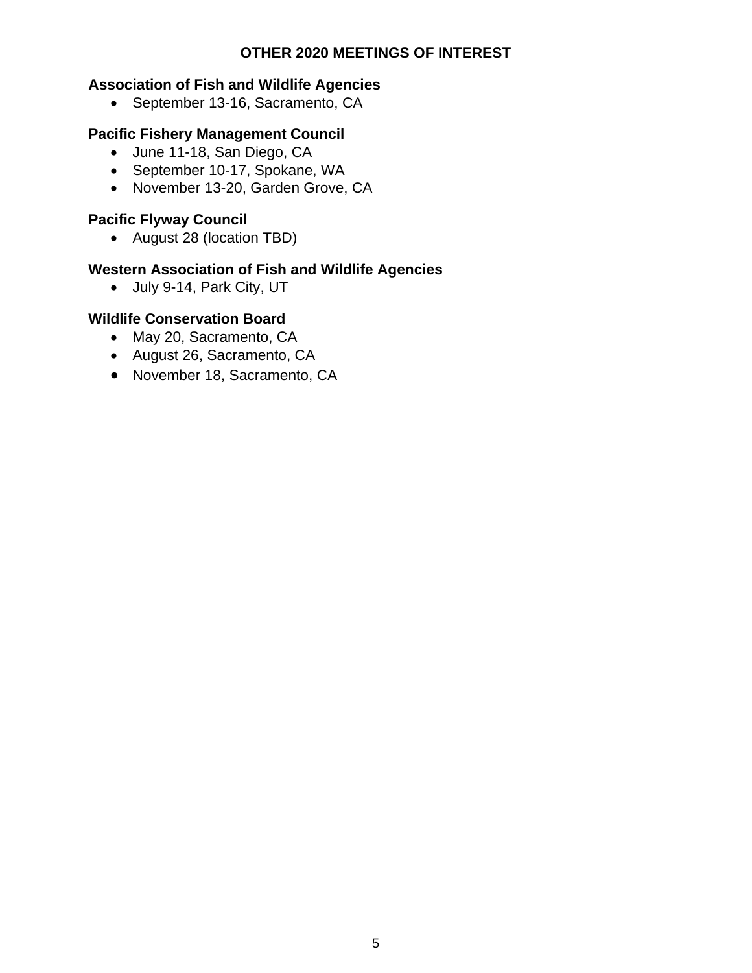#### **OTHER 2020 MEETINGS OF INTEREST**

# **Association of Fish and Wildlife Agencies**

• September 13-16, Sacramento, CA

## **Pacific Fishery Management Council**

- June 11-18, San Diego, CA
- September 10-17, Spokane, WA
- November 13-20, Garden Grove, CA

# **Pacific Flyway Council**

• August 28 (location TBD)

## **Western Association of Fish and Wildlife Agencies**

• July 9-14, Park City, UT

### **Wildlife Conservation Board**

- May 20, Sacramento, CA
- August 26, Sacramento, CA
- November 18, Sacramento, CA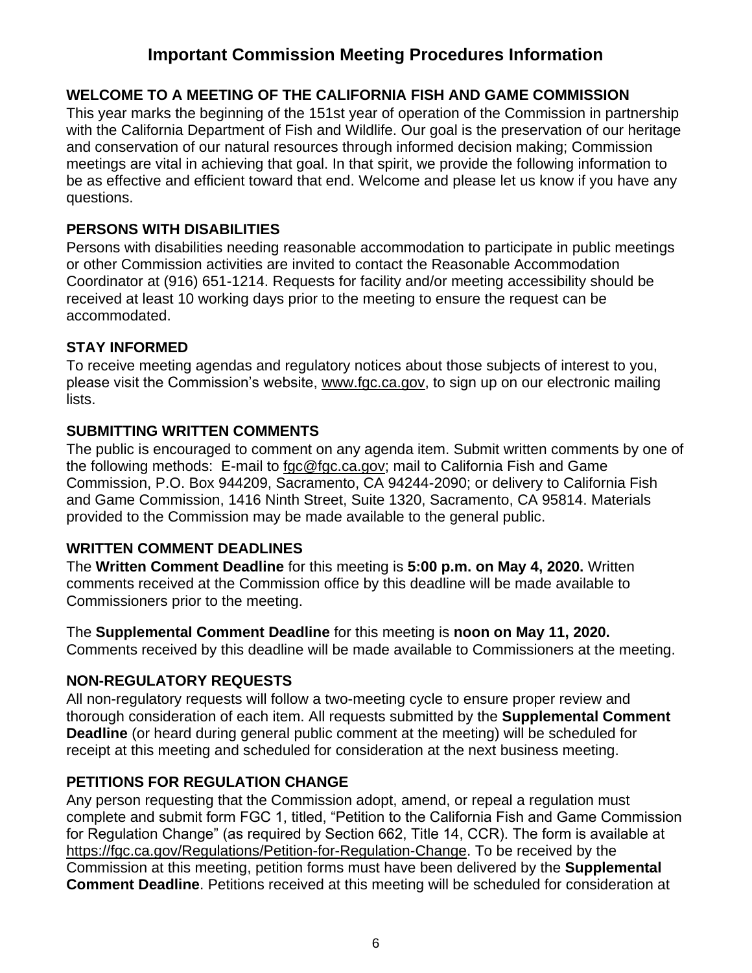# **Important Commission Meeting Procedures Information**

# **WELCOME TO A MEETING OF THE CALIFORNIA FISH AND GAME COMMISSION**

This year marks the beginning of the 151st year of operation of the Commission in partnership with the California Department of Fish and Wildlife. Our goal is the preservation of our heritage and conservation of our natural resources through informed decision making; Commission meetings are vital in achieving that goal. In that spirit, we provide the following information to be as effective and efficient toward that end. Welcome and please let us know if you have any questions.

## **PERSONS WITH DISABILITIES**

Persons with disabilities needing reasonable accommodation to participate in public meetings or other Commission activities are invited to contact the Reasonable Accommodation Coordinator at (916) 651-1214. Requests for facility and/or meeting accessibility should be received at least 10 working days prior to the meeting to ensure the request can be accommodated.

#### **STAY INFORMED**

To receive meeting agendas and regulatory notices about those subjects of interest to you, please visit the Commission's website, [www.fgc.ca.gov,](file://///HQGroup3.AD.Dfg.Ca.Gov/HQ10/Groups/FGC/Meetings/Agendas/Templates/www.fgc.ca.gov) to sign up on our electronic mailing lists.

#### **SUBMITTING WRITTEN COMMENTS**

The public is encouraged to comment on any agenda item. Submit written comments by one of the following methods: E-mail to [fgc@fgc.ca.gov;](mailto:fgc@fgc.ca.gov) mail to California Fish and Game Commission, P.O. Box 944209, Sacramento, CA 94244-2090; or delivery to California Fish and Game Commission, 1416 Ninth Street, Suite 1320, Sacramento, CA 95814. Materials provided to the Commission may be made available to the general public.

## **WRITTEN COMMENT DEADLINES**

The **Written Comment Deadline** for this meeting is **5:00 p.m. on May 4, 2020.** Written comments received at the Commission office by this deadline will be made available to Commissioners prior to the meeting.

The **Supplemental Comment Deadline** for this meeting is **noon on May 11, 2020.** Comments received by this deadline will be made available to Commissioners at the meeting.

## **NON-REGULATORY REQUESTS**

All non-regulatory requests will follow a two-meeting cycle to ensure proper review and thorough consideration of each item. All requests submitted by the **Supplemental Comment Deadline** (or heard during general public comment at the meeting) will be scheduled for receipt at this meeting and scheduled for consideration at the next business meeting.

## **PETITIONS FOR REGULATION CHANGE**

Any person requesting that the Commission adopt, amend, or repeal a regulation must complete and submit form FGC 1, titled, "Petition to the California Fish and Game Commission for Regulation Change" (as required by Section 662, Title 14, CCR). The form is available at [https://fgc.ca.gov/Regulations/Petition-for-Regulation-Change.](https://fgc.ca.gov/Regulations/Petition-for-Regulation-Change) To be received by the Commission at this meeting, petition forms must have been delivered by the **Supplemental Comment Deadline**. Petitions received at this meeting will be scheduled for consideration at